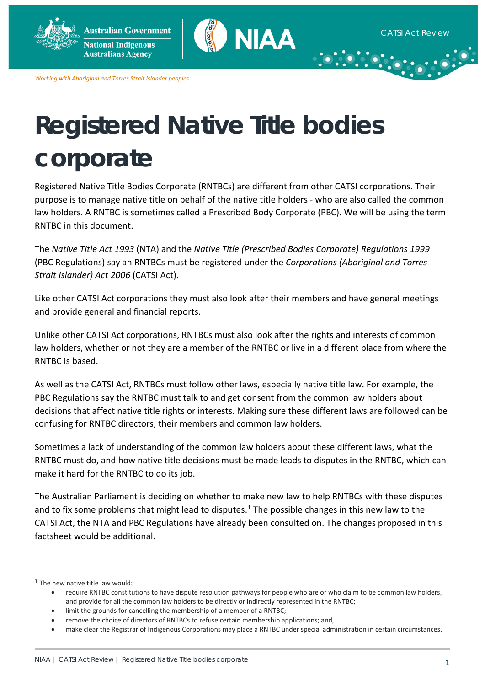

*Working with Aboriginal and Torres Strait Islander peoples*

# **Registered Native Title bodies corporate**

Registered Native Title Bodies Corporate (RNTBCs) are different from other CATSI corporations. Their purpose is to manage native title on behalf of the native title holders - who are also called the common law holders. A RNTBC is sometimes called a Prescribed Body Corporate (PBC). We will be using the term RNTBC in this document.

The *Native Title Act 1993* (NTA) and the *Native Title (Prescribed Bodies Corporate) Regulations 1999* (PBC Regulations) say an RNTBCs must be registered under the *Corporations (Aboriginal and Torres Strait Islander) Act 2006* (CATSI Act).

Like other CATSI Act corporations they must also look after their members and have general meetings and provide general and financial reports.

Unlike other CATSI Act corporations, RNTBCs must also look after the rights and interests of common law holders, whether or not they are a member of the RNTBC or live in a different place from where the RNTBC is based.

As well as the CATSI Act, RNTBCs must follow other laws, especially native title law. For example, the PBC Regulations say the RNTBC must talk to and get consent from the common law holders about decisions that affect native title rights or interests. Making sure these different laws are followed can be confusing for RNTBC directors, their members and common law holders.

Sometimes a lack of understanding of the common law holders about these different laws, what the RNTBC must do, and how native title decisions must be made leads to disputes in the RNTBC, which can make it hard for the RNTBC to do its job.

The Australian Parliament is deciding on whether to make new law to help RNTBCs with these disputes and to fix some problems that might lead to disputes.<sup>[1](#page-0-0)</sup> The possible changes in this new law to the CATSI Act, the NTA and PBC Regulations have already been consulted on. The changes proposed in this factsheet would be additional.

 $\overline{a}$ 

<span id="page-0-0"></span> $1$  The new native title law would:

<sup>•</sup> require RNTBC constitutions to have dispute resolution pathways for people who are or who claim to be common law holders, and provide for all the common law holders to be directly or indirectly represented in the RNTBC;

limit the grounds for cancelling the membership of a member of a RNTBC;

<sup>•</sup> remove the choice of directors of RNTBCs to refuse certain membership applications; and,

<sup>•</sup> make clear the Registrar of Indigenous Corporations may place a RNTBC under special administration in certain circumstances.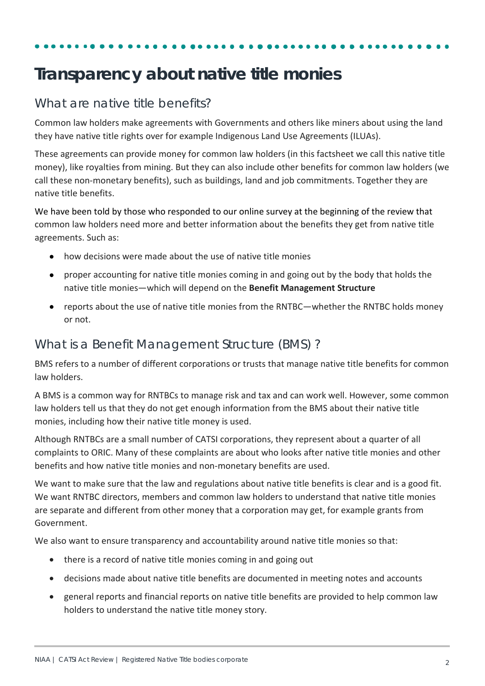### **Transparency about native title monies**

### What are native title benefits?

Common law holders make agreements with Governments and others like miners about using the land they have native title rights over for example Indigenous Land Use Agreements (ILUAs).

These agreements can provide money for common law holders (in this factsheet we call this native title money), like royalties from mining. But they can also include other benefits for common law holders (we call these non-monetary benefits), such as buildings, land and job commitments. Together they are native title benefits.

We have been told by those who responded to our online survey at the beginning of the review that common law holders need more and better information about the benefits they get from native title agreements. Such as:

- how decisions were made about the use of native title monies
- proper accounting for native title monies coming in and going out by the body that holds the native title monies—which will depend on the **Benefit Management Structure**
- reports about the use of native title monies from the RNTBC—whether the RNTBC holds money or not.

### What is a Benefit Management Structure (BMS) ?

BMS refers to a number of different corporations or trusts that manage native title benefits for common law holders.

A BMS is a common way for RNTBCs to manage risk and tax and can work well. However, some common law holders tell us that they do not get enough information from the BMS about their native title monies, including how their native title money is used.

Although RNTBCs are a small number of CATSI corporations, they represent about a quarter of all complaints to ORIC. Many of these complaints are about who looks after native title monies and other benefits and how native title monies and non-monetary benefits are used.

We want to make sure that the law and regulations about native title benefits is clear and is a good fit. We want RNTBC directors, members and common law holders to understand that native title monies are separate and different from other money that a corporation may get, for example grants from Government.

We also want to ensure transparency and accountability around native title monies so that:

- there is a record of native title monies coming in and going out
- decisions made about native title benefits are documented in meeting notes and accounts
- general reports and financial reports on native title benefits are provided to help common law holders to understand the native title money story.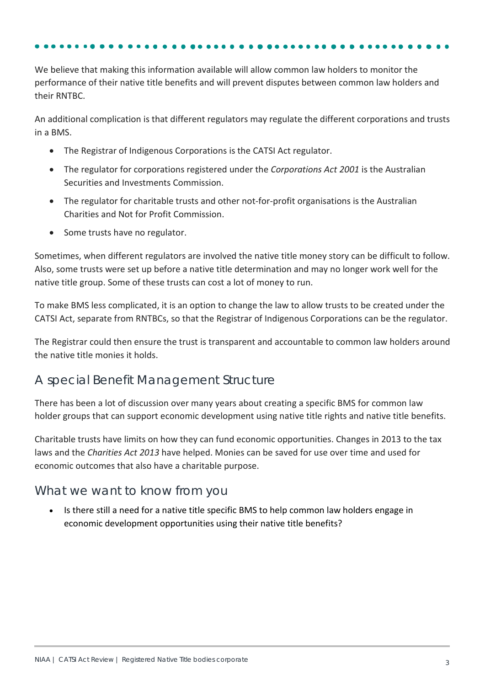We believe that making this information available will allow common law holders to monitor the performance of their native title benefits and will prevent disputes between common law holders and their RNTBC.

An additional complication is that different regulators may regulate the different corporations and trusts in a BMS.

- The Registrar of Indigenous Corporations is the CATSI Act regulator.
- The regulator for corporations registered under the *Corporations Act 2001* is the Australian Securities and Investments Commission.
- The regulator for charitable trusts and other not-for-profit organisations is the Australian Charities and Not for Profit Commission.
- Some trusts have no regulator.

Sometimes, when different regulators are involved the native title money story can be difficult to follow. Also, some trusts were set up before a native title determination and may no longer work well for the native title group. Some of these trusts can cost a lot of money to run.

To make BMS less complicated, it is an option to change the law to allow trusts to be created under the CATSI Act, separate from RNTBCs, so that the Registrar of Indigenous Corporations can be the regulator.

The Registrar could then ensure the trust is transparent and accountable to common law holders around the native title monies it holds.

### A special Benefit Management Structure

There has been a lot of discussion over many years about creating a specific BMS for common law holder groups that can support economic development using native title rights and native title benefits.

Charitable trusts have limits on how they can fund economic opportunities. Changes in 2013 to the tax laws and the *Charities Act 2013* have helped. Monies can be saved for use over time and used for economic outcomes that also have a charitable purpose.

### What we want to know from you

• Is there still a need for a native title specific BMS to help common law holders engage in economic development opportunities using their native title benefits?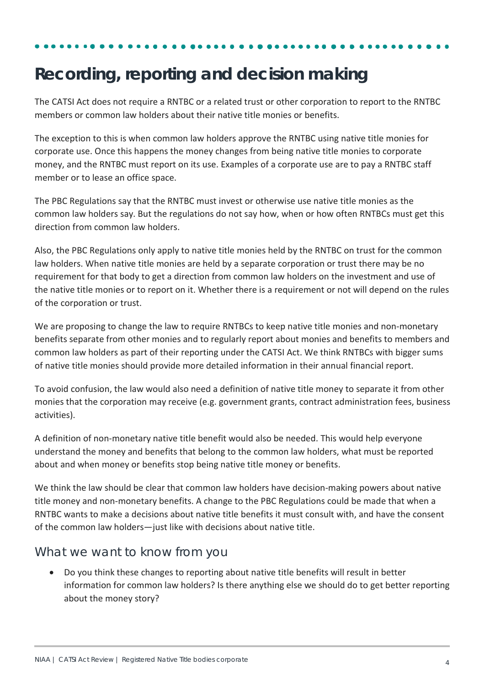## **Recording, reporting and decision making**

The CATSI Act does not require a RNTBC or a related trust or other corporation to report to the RNTBC members or common law holders about their native title monies or benefits.

The exception to this is when common law holders approve the RNTBC using native title monies for corporate use. Once this happens the money changes from being native title monies to corporate money, and the RNTBC must report on its use. Examples of a corporate use are to pay a RNTBC staff member or to lease an office space.

The PBC Regulations say that the RNTBC must invest or otherwise use native title monies as the common law holders say. But the regulations do not say how, when or how often RNTBCs must get this direction from common law holders.

Also, the PBC Regulations only apply to native title monies held by the RNTBC on trust for the common law holders. When native title monies are held by a separate corporation or trust there may be no requirement for that body to get a direction from common law holders on the investment and use of the native title monies or to report on it. Whether there is a requirement or not will depend on the rules of the corporation or trust.

We are proposing to change the law to require RNTBCs to keep native title monies and non-monetary benefits separate from other monies and to regularly report about monies and benefits to members and common law holders as part of their reporting under the CATSI Act. We think RNTBCs with bigger sums of native title monies should provide more detailed information in their annual financial report.

To avoid confusion, the law would also need a definition of native title money to separate it from other monies that the corporation may receive (e.g. government grants, contract administration fees, business activities).

A definition of non-monetary native title benefit would also be needed. This would help everyone understand the money and benefits that belong to the common law holders, what must be reported about and when money or benefits stop being native title money or benefits.

We think the law should be clear that common law holders have decision-making powers about native title money and non-monetary benefits. A change to the PBC Regulations could be made that when a RNTBC wants to make a decisions about native title benefits it must consult with, and have the consent of the common law holders—just like with decisions about native title.

### What we want to know from you

• Do you think these changes to reporting about native title benefits will result in better information for common law holders? Is there anything else we should do to get better reporting about the money story?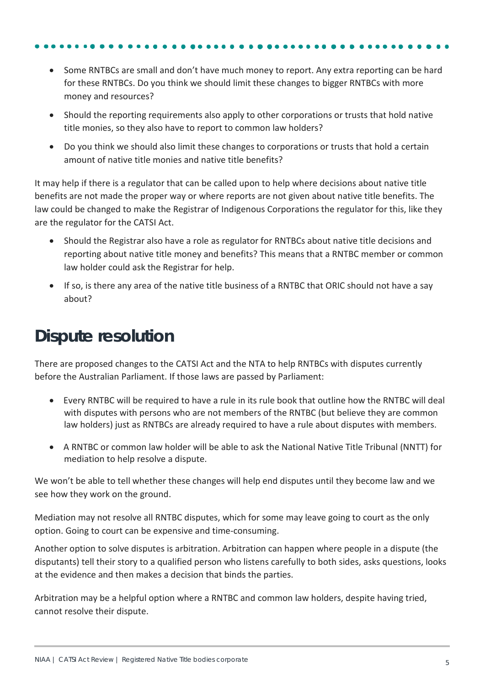- Some RNTBCs are small and don't have much money to report. Any extra reporting can be hard for these RNTBCs. Do you think we should limit these changes to bigger RNTBCs with more money and resources?
- Should the reporting requirements also apply to other corporations or trusts that hold native title monies, so they also have to report to common law holders?
- Do you think we should also limit these changes to corporations or trusts that hold a certain amount of native title monies and native title benefits?

It may help if there is a regulator that can be called upon to help where decisions about native title benefits are not made the proper way or where reports are not given about native title benefits. The law could be changed to make the Registrar of Indigenous Corporations the regulator for this, like they are the regulator for the CATSI Act.

- Should the Registrar also have a role as regulator for RNTBCs about native title decisions and reporting about native title money and benefits? This means that a RNTBC member or common law holder could ask the Registrar for help.
- If so, is there any area of the native title business of a RNTBC that ORIC should not have a say about?

## **Dispute resolution**

There are proposed changes to the CATSI Act and the NTA to help RNTBCs with disputes currently before the Australian Parliament. If those laws are passed by Parliament:

- Every RNTBC will be required to have a rule in its rule book that outline how the RNTBC will deal with disputes with persons who are not members of the RNTBC (but believe they are common law holders) just as RNTBCs are already required to have a rule about disputes with members.
- A RNTBC or common law holder will be able to ask the National Native Title Tribunal (NNTT) for mediation to help resolve a dispute.

We won't be able to tell whether these changes will help end disputes until they become law and we see how they work on the ground.

Mediation may not resolve all RNTBC disputes, which for some may leave going to court as the only option. Going to court can be expensive and time-consuming.

Another option to solve disputes is arbitration. Arbitration can happen where people in a dispute (the disputants) tell their story to a qualified person who listens carefully to both sides, asks questions, looks at the evidence and then makes a decision that binds the parties.

Arbitration may be a helpful option where a RNTBC and common law holders, despite having tried, cannot resolve their dispute.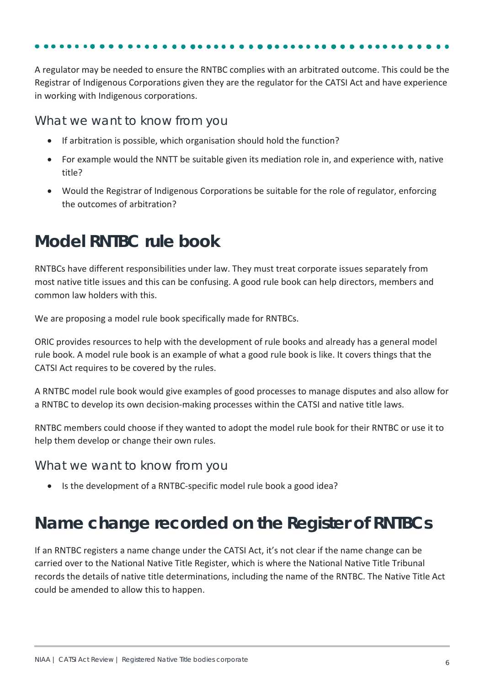A regulator may be needed to ensure the RNTBC complies with an arbitrated outcome. This could be the Registrar of Indigenous Corporations given they are the regulator for the CATSI Act and have experience

What we want to know from you

in working with Indigenous corporations.

- If arbitration is possible, which organisation should hold the function?
- For example would the NNTT be suitable given its mediation role in, and experience with, native title?
- Would the Registrar of Indigenous Corporations be suitable for the role of regulator, enforcing the outcomes of arbitration?

## **Model RNTBC rule book**

RNTBCs have different responsibilities under law. They must treat corporate issues separately from most native title issues and this can be confusing. A good rule book can help directors, members and common law holders with this.

We are proposing a model rule book specifically made for RNTBCs.

ORIC provides resources to help with the development of rule books and already has a general model rule book. A model rule book is an example of what a good rule book is like. It covers things that the CATSI Act requires to be covered by the rules.

A RNTBC model rule book would give examples of good processes to manage disputes and also allow for a RNTBC to develop its own decision-making processes within the CATSI and native title laws.

RNTBC members could choose if they wanted to adopt the model rule book for their RNTBC or use it to help them develop or change their own rules.

What we want to know from you

• Is the development of a RNTBC-specific model rule book a good idea?

## **Name change recorded on the Register of RNTBCs**

If an RNTBC registers a name change under the CATSI Act, it's not clear if the name change can be carried over to the National Native Title Register, which is where the National Native Title Tribunal records the details of native title determinations, including the name of the RNTBC. The Native Title Act could be amended to allow this to happen.